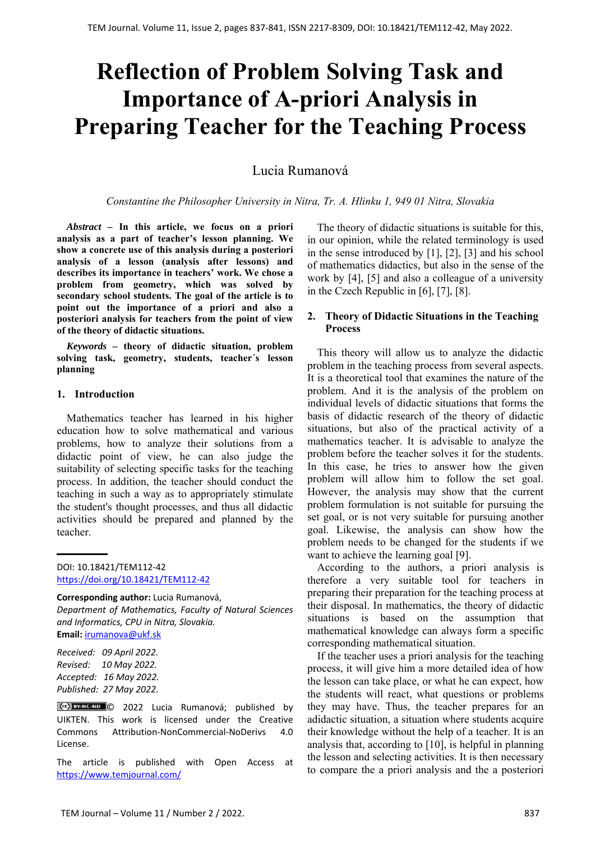# **Reflection of Problem Solving Task and Importance of A-priori Analysis in Preparing Teacher for the Teaching Process**

## Lucia Rumanová

*Constantine the Philosopher University in Nitra, Tr. A. Hlinku 1, 949 01 Nitra, Slovakia*

*Abstract –* **In this article, we focus on a priori analysis as a part of teacher's lesson planning. We show a concrete use of this analysis during a posteriori analysis of a lesson (analysis after lessons) and describes its importance in teachers' work. We chose a problem from geometry, which was solved by secondary school students. The goal of the article is to point out the importance of a priori and also a posteriori analysis for teachers from the point of view of the theory of didactic situations.** 

*Keywords –* **theory of didactic situation, problem solving task, geometry, students, teacher´s lesson planning** 

#### **1. Introduction**

Mathematics teacher has learned in his higher education how to solve mathematical and various problems, how to analyze their solutions from a didactic point of view, he can also judge the suitability of selecting specific tasks for the teaching process. In addition, the teacher should conduct the teaching in such a way as to appropriately stimulate the student's thought processes, and thus all didactic activities should be prepared and planned by the teacher.

DOI: 10.18421/TEM112-42 [https://doi.org/10.18421/TEM112](https://doi.org/10.18421/TEM112-42)-42

**Corresponding author:** Lucia Rumanová, *Department of Mathematics, Faculty of Natural Sciences and Informatics, CPU in Nitra, Slovakia.*  **Email:** irumanova@ukf.sk

*Received: 09 April 2022. Revised: 10 May 2022. Accepted: 16 May 2022. Published: 27 May 2022.* 

CCC BY-NC-ND C 2022 Lucia Rumanová; published by UIKTEN. This work is licensed under the Creative Commons Attribution‐NonCommercial‐NoDerivs 4.0 License.

The article is published with Open Access at https://www.temjournal.com/

The theory of didactic situations is suitable for this, in our opinion, while the related terminology is used in the sense introduced by [1], [2], [3] and his school of mathematics didactics, but also in the sense of the work by [4], [5] and also a colleague of a university in the Czech Republic in [6], [7], [8].

## **2. Theory of Didactic Situations in the Teaching Process**

This theory will allow us to analyze the didactic problem in the teaching process from several aspects. It is a theoretical tool that examines the nature of the problem. And it is the analysis of the problem on individual levels of didactic situations that forms the basis of didactic research of the theory of didactic situations, but also of the practical activity of a mathematics teacher. It is advisable to analyze the problem before the teacher solves it for the students. In this case, he tries to answer how the given problem will allow him to follow the set goal. However, the analysis may show that the current problem formulation is not suitable for pursuing the set goal, or is not very suitable for pursuing another goal. Likewise, the analysis can show how the problem needs to be changed for the students if we want to achieve the learning goal [9].

According to the authors, a priori analysis is therefore a very suitable tool for teachers in preparing their preparation for the teaching process at their disposal. In mathematics, the theory of didactic situations is based on the assumption that mathematical knowledge can always form a specific corresponding mathematical situation.

If the teacher uses a priori analysis for the teaching process, it will give him a more detailed idea of how the lesson can take place, or what he can expect, how the students will react, what questions or problems they may have. Thus, the teacher prepares for an adidactic situation, a situation where students acquire their knowledge without the help of a teacher. It is an analysis that, according to [10], is helpful in planning the lesson and selecting activities. It is then necessary to compare the a priori analysis and the a posteriori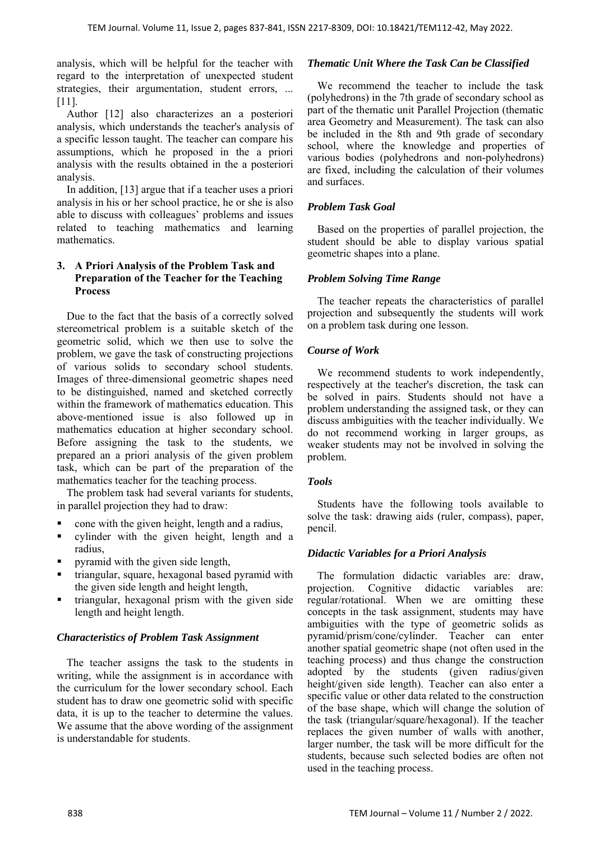analysis, which will be helpful for the teacher with regard to the interpretation of unexpected student strategies, their argumentation, student errors, ... [11].

Author [12] also characterizes an a posteriori analysis, which understands the teacher's analysis of a specific lesson taught. The teacher can compare his assumptions, which he proposed in the a priori analysis with the results obtained in the a posteriori analysis.

In addition, [13] argue that if a teacher uses a priori analysis in his or her school practice, he or she is also able to discuss with colleagues' problems and issues related to teaching mathematics and learning mathematics.

## **3. A Priori Analysis of the Problem Task and Preparation of the Teacher for the Teaching Process**

Due to the fact that the basis of a correctly solved stereometrical problem is a suitable sketch of the geometric solid, which we then use to solve the problem, we gave the task of constructing projections of various solids to secondary school students. Images of three-dimensional geometric shapes need to be distinguished, named and sketched correctly within the framework of mathematics education. This above-mentioned issue is also followed up in mathematics education at higher secondary school. Before assigning the task to the students, we prepared an a priori analysis of the given problem task, which can be part of the preparation of the mathematics teacher for the teaching process.

The problem task had several variants for students, in parallel projection they had to draw:

- cone with the given height, length and a radius,
- cylinder with the given height, length and a radius,
- pyramid with the given side length,
- triangular, square, hexagonal based pyramid with the given side length and height length,
- triangular, hexagonal prism with the given side length and height length.

## *Characteristics of Problem Task Assignment*

The teacher assigns the task to the students in writing, while the assignment is in accordance with the curriculum for the lower secondary school. Each student has to draw one geometric solid with specific data, it is up to the teacher to determine the values. We assume that the above wording of the assignment is understandable for students.

## *Thematic Unit Where the Task Can be Classified*

We recommend the teacher to include the task (polyhedrons) in the 7th grade of secondary school as part of the thematic unit Parallel Projection (thematic area Geometry and Measurement). The task can also be included in the 8th and 9th grade of secondary school, where the knowledge and properties of various bodies (polyhedrons and non-polyhedrons) are fixed, including the calculation of their volumes and surfaces.

## *Problem Task Goal*

Based on the properties of parallel projection, the student should be able to display various spatial geometric shapes into a plane.

## *Problem Solving Time Range*

The teacher repeats the characteristics of parallel projection and subsequently the students will work on a problem task during one lesson.

## *Course of Work*

We recommend students to work independently, respectively at the teacher's discretion, the task can be solved in pairs. Students should not have a problem understanding the assigned task, or they can discuss ambiguities with the teacher individually. We do not recommend working in larger groups, as weaker students may not be involved in solving the problem.

## *Tools*

Students have the following tools available to solve the task: drawing aids (ruler, compass), paper, pencil.

## *Didactic Variables for a Priori Analysis*

The formulation didactic variables are: draw, projection. Cognitive didactic variables are: regular/rotational. When we are omitting these concepts in the task assignment, students may have ambiguities with the type of geometric solids as pyramid/prism/cone/cylinder. Teacher can enter another spatial geometric shape (not often used in the teaching process) and thus change the construction adopted by the students (given radius/given height/given side length). Teacher can also enter a specific value or other data related to the construction of the base shape, which will change the solution of the task (triangular/square/hexagonal). If the teacher replaces the given number of walls with another, larger number, the task will be more difficult for the students, because such selected bodies are often not used in the teaching process.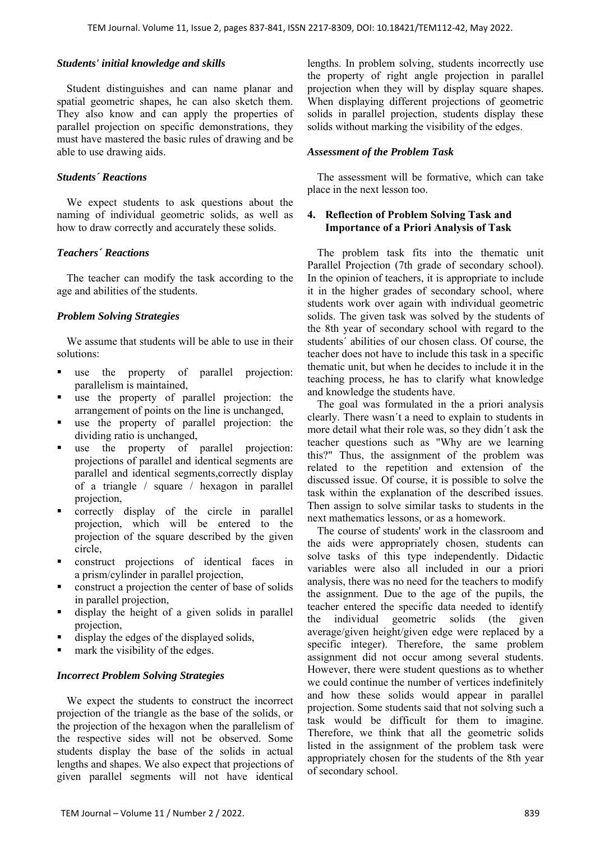#### *Students' initial knowledge and skills*

Student distinguishes and can name planar and spatial geometric shapes, he can also sketch them. They also know and can apply the properties of parallel projection on specific demonstrations, they must have mastered the basic rules of drawing and be able to use drawing aids.

#### *Students´ Reactions*

We expect students to ask questions about the naming of individual geometric solids, as well as how to draw correctly and accurately these solids.

#### *Teachers´ Reactions*

The teacher can modify the task according to the age and abilities of the students.

## *Problem Solving Strategies*

We assume that students will be able to use in their solutions:

- use the property of parallel projection: parallelism is maintained,
- use the property of parallel projection: the arrangement of points on the line is unchanged,
- use the property of parallel projection: the dividing ratio is unchanged,
- use the property of parallel projection: projections of parallel and identical segments are parallel and identical segments,correctly display of a triangle / square / hexagon in parallel projection,
- correctly display of the circle in parallel projection, which will be entered to the projection of the square described by the given circle,
- construct projections of identical faces in a prism/cylinder in parallel projection,
- construct a projection the center of base of solids in parallel projection,
- display the height of a given solids in parallel projection,
- display the edges of the displayed solids,
- mark the visibility of the edges.

#### *Incorrect Problem Solving Strategies*

We expect the students to construct the incorrect projection of the triangle as the base of the solids, or the projection of the hexagon when the parallelism of the respective sides will not be observed. Some students display the base of the solids in actual lengths and shapes. We also expect that projections of given parallel segments will not have identical

lengths. In problem solving, students incorrectly use the property of right angle projection in parallel projection when they will by display square shapes. When displaying different projections of geometric solids in parallel projection, students display these solids without marking the visibility of the edges.

#### *Assessment of the Problem Task*

The assessment will be formative, which can take place in the next lesson too.

## **4. Reflection of Problem Solving Task and Importance of a Priori Analysis of Task**

The problem task fits into the thematic unit Parallel Projection (7th grade of secondary school). In the opinion of teachers, it is appropriate to include it in the higher grades of secondary school, where students work over again with individual geometric solids. The given task was solved by the students of the 8th year of secondary school with regard to the students´ abilities of our chosen class. Of course, the teacher does not have to include this task in a specific thematic unit, but when he decides to include it in the teaching process, he has to clarify what knowledge and knowledge the students have.

The goal was formulated in the a priori analysis clearly. There wasn´t a need to explain to students in more detail what their role was, so they didn´t ask the teacher questions such as "Why are we learning this?" Thus, the assignment of the problem was related to the repetition and extension of the discussed issue. Of course, it is possible to solve the task within the explanation of the described issues. Then assign to solve similar tasks to students in the next mathematics lessons, or as a homework.

The course of students' work in the classroom and the aids were appropriately chosen, students can solve tasks of this type independently. Didactic variables were also all included in our a priori analysis, there was no need for the teachers to modify the assignment. Due to the age of the pupils, the teacher entered the specific data needed to identify the individual geometric solids (the given average/given height/given edge were replaced by a specific integer). Therefore, the same problem assignment did not occur among several students. However, there were student questions as to whether we could continue the number of vertices indefinitely and how these solids would appear in parallel projection. Some students said that not solving such a task would be difficult for them to imagine. Therefore, we think that all the geometric solids listed in the assignment of the problem task were appropriately chosen for the students of the 8th year of secondary school.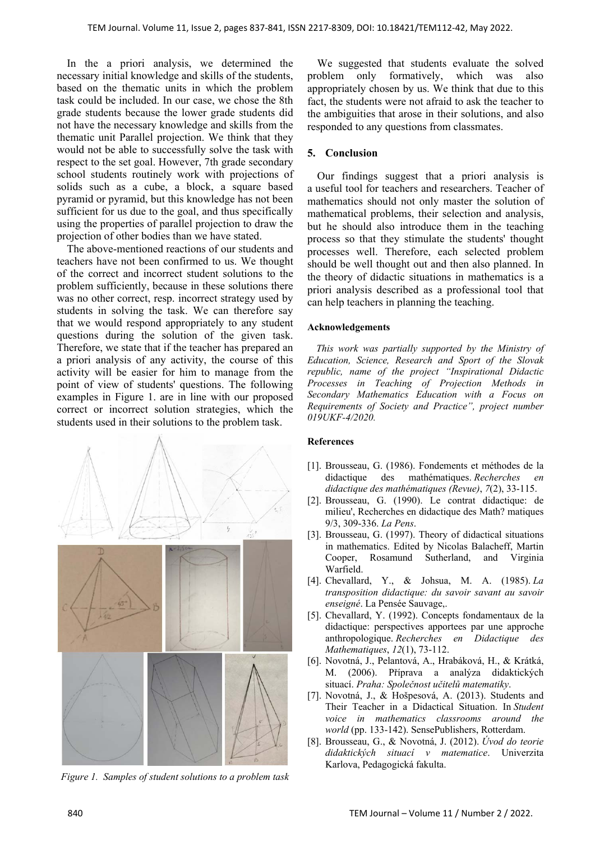In the a priori analysis, we determined the necessary initial knowledge and skills of the students, based on the thematic units in which the problem task could be included. In our case, we chose the 8th grade students because the lower grade students did not have the necessary knowledge and skills from the thematic unit Parallel projection. We think that they would not be able to successfully solve the task with respect to the set goal. However, 7th grade secondary school students routinely work with projections of solids such as a cube, a block, a square based pyramid or pyramid, but this knowledge has not been sufficient for us due to the goal, and thus specifically using the properties of parallel projection to draw the projection of other bodies than we have stated.

The above-mentioned reactions of our students and teachers have not been confirmed to us. We thought of the correct and incorrect student solutions to the problem sufficiently, because in these solutions there was no other correct, resp. incorrect strategy used by students in solving the task. We can therefore say that we would respond appropriately to any student questions during the solution of the given task. Therefore, we state that if the teacher has prepared an a priori analysis of any activity, the course of this activity will be easier for him to manage from the point of view of students' questions. The following examples in Figure 1. are in line with our proposed correct or incorrect solution strategies, which the students used in their solutions to the problem task.



*Figure 1. Samples of student solutions to a problem task* 

We suggested that students evaluate the solved problem only formatively, which was also appropriately chosen by us. We think that due to this fact, the students were not afraid to ask the teacher to the ambiguities that arose in their solutions, and also responded to any questions from classmates.

## **5. Conclusion**

Our findings suggest that a priori analysis is a useful tool for teachers and researchers. Teacher of mathematics should not only master the solution of mathematical problems, their selection and analysis, but he should also introduce them in the teaching process so that they stimulate the students' thought processes well. Therefore, each selected problem should be well thought out and then also planned. In the theory of didactic situations in mathematics is a priori analysis described as a professional tool that can help teachers in planning the teaching.

#### **Acknowledgements**

*This work was partially supported by the Ministry of Education, Science, Research and Sport of the Slovak republic, name of the project "Inspirational Didactic Processes in Teaching of Projection Methods in Secondary Mathematics Education with a Focus on Requirements of Society and Practice", project number 019UKF-4/2020.* 

#### **References**

- [1]. Brousseau, G. (1986). Fondements et méthodes de la didactique des mathématiques. *Recherches en didactique des mathématiques (Revue)*, *7*(2), 33-115.
- [2]. Brousseau, G. (1990). Le contrat didactique: de milieu', Recherches en didactique des Math? matiques 9/3, 309-336. *La Pens*.
- [3]. Brousseau, G. (1997). Theory of didactical situations in mathematics. Edited by Nicolas Balacheff, Martin Cooper, Rosamund Sutherland, and Virginia Warfield.
- [4]. Chevallard, Y., & Johsua, M. A. (1985). *La transposition didactique: du savoir savant au savoir enseigné*. La Pensée Sauvage,.
- [5]. Chevallard, Y. (1992). Concepts fondamentaux de la didactique: perspectives apportees par une approche anthropologique. *Recherches en Didactique des Mathematiques*, *12*(1), 73-112.
- [6]. Novotná, J., Pelantová, A., Hrabáková, H., & Krátká, M. (2006). Příprava a analýza didaktických situací. *Praha: Společnost učitelů matematiky*.
- [7]. Novotná, J., & Hošpesová, A. (2013). Students and Their Teacher in a Didactical Situation. In *Student voice in mathematics classrooms around the world* (pp. 133-142). SensePublishers, Rotterdam.
- [8]. Brousseau, G., & Novotná, J. (2012). *Úvod do teorie didaktických situací v matematice*. Univerzita Karlova, Pedagogická fakulta.